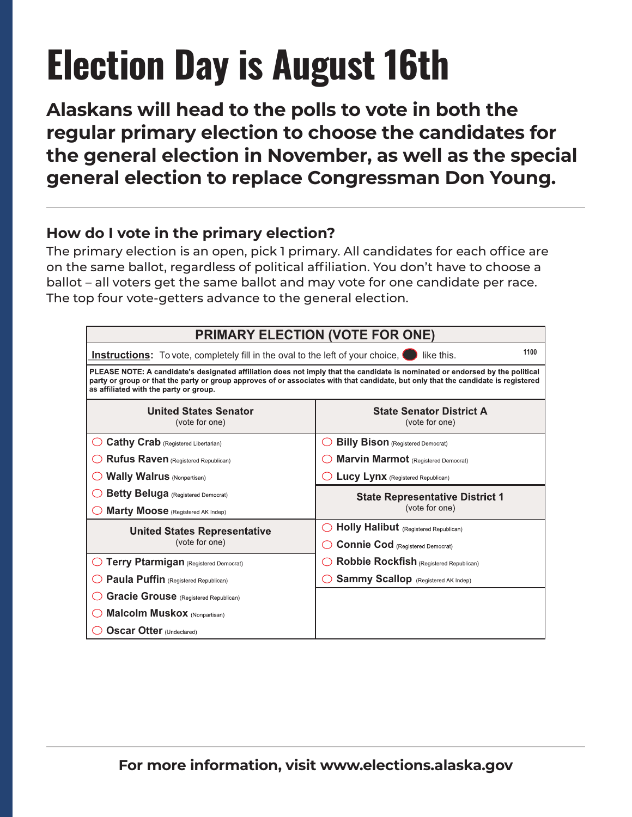**Alaskans will head to the polls to vote in both the regular primary election to choose the candidates for the general election in November, as well as the special general election to replace Congressman Don Young.** 

### **STATEOFALASKA How do I vote in the primary election?**

The primary election is an open, pick 1 primary. All candidates for each office are **August**16**,**2022 on the same ballot, regardless of political affiliation. You don't have to choose a **PrimaryElection** ballot – all voters get the same ballot and may vote for one candidate per race. The top four vote-getters advance to the general election.